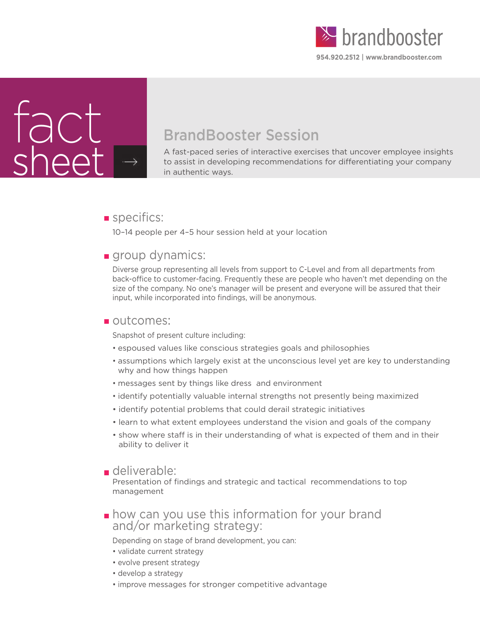



# BrandBooster Session

A fast-paced series of interactive exercises that uncover employee insights to assist in developing recommendations for differentiating your company in authentic ways.

## specifics:

10–14 people per 4–5 hour session held at your location

## **group dynamics:**

Diverse group representing all levels from support to C-Level and from all departments from back-office to customer-facing. Frequently these are people who haven't met depending on the size of the company. No one's manager will be present and everyone will be assured that their input, while incorporated into findings, will be anonymous.

## outcomes:

Snapshot of present culture including:

- espoused values like conscious strategies goals and philosophies
- assumptions which largely exist at the unconscious level yet are key to understanding why and how things happen
- messages sent by things like dress and environment
- identify potentially valuable internal strengths not presently being maximized
- identify potential problems that could derail strategic initiatives
- learn to what extent employees understand the vision and goals of the company
- show where staff is in their understanding of what is expected of them and in their ability to deliver it

## deliverable:

Presentation of findings and strategic and tactical recommendations to top management

**how can you use this information for your brand and/or marketing strategy:** 

Depending on stage of brand development, you can:

- validate current strategy
- evolve present strategy
- develop a strategy
- improve messages for stronger competitive advantage